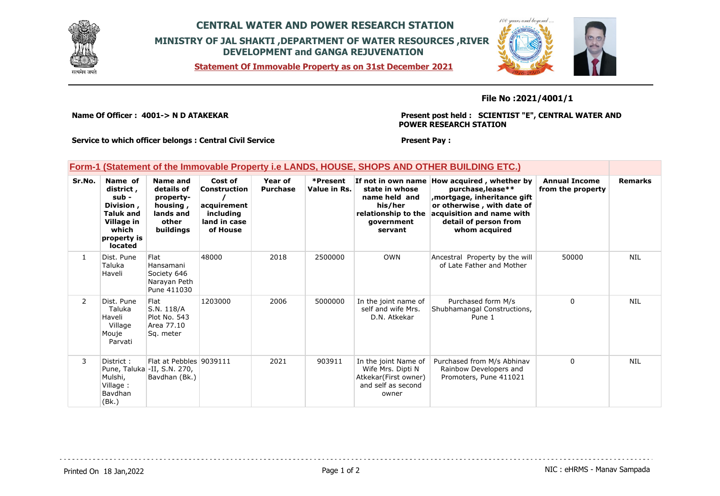

## **CENTRAL WATER AND POWER RESEARCH STATION MINISTRY OF JAL SHAKTI ,DEPARTMENT OF WATER RESOURCES ,RIVER DEVELOPMENT and GANGA REJUVENATION**

**Statement Of Immovable Property as on 31st December 2021**



### **File No :2021/4001/1**

**Name Of Officer : 4001-> N D ATAKEKAR** 

**Present post held : SCIENTIST "E", CENTRAL WATER AND POWER RESEARCH STATION**

**Service to which officer belongs : Central Civil Service**

#### **Present Pay :**

### **Form-1 (Statement of the Immovable Property i.e LANDS, HOUSE, SHOPS AND OTHER BUILDING ETC.)**

| Sr.No.         | Name of<br>district,<br>sub -<br>Division,<br><b>Taluk and</b><br>Village in<br>which<br>property is<br><b>located</b> | Name and<br>details of<br>property-<br>housing,<br>lands and<br>other<br>buildings | Cost of<br>Construction<br>acquirement<br>including<br>land in case<br>of House | Year of<br><b>Purchase</b> | *Present<br>Value in Rs. | If not in own name<br>state in whose<br>name held and<br>his/her<br>relationship to the<br>government<br>servant | How acquired, whether by<br>purchase, lease**<br>mortgage, inheritance gift,<br>or otherwise, with date of<br>acquisition and name with<br>detail of person from<br>whom acquired | <b>Annual Income</b><br>from the property | <b>Remarks</b> |
|----------------|------------------------------------------------------------------------------------------------------------------------|------------------------------------------------------------------------------------|---------------------------------------------------------------------------------|----------------------------|--------------------------|------------------------------------------------------------------------------------------------------------------|-----------------------------------------------------------------------------------------------------------------------------------------------------------------------------------|-------------------------------------------|----------------|
| $\mathbf{1}$   | Dist. Pune<br>Taluka<br>Haveli                                                                                         | Flat<br>Hansamani<br>Society 646<br>Narayan Peth<br>Pune 411030                    | 48000                                                                           | 2018                       | 2500000                  | <b>OWN</b>                                                                                                       | Ancestral Property by the will<br>of Late Father and Mother                                                                                                                       | 50000                                     | <b>NIL</b>     |
| $\overline{2}$ | Dist. Pune<br>Taluka<br>Haveli<br>Village<br>Mouje<br>Parvati                                                          | Flat<br>S.N. 118/A<br>Plot No. 543<br>Area 77.10<br>Sq. meter                      | 1203000                                                                         | 2006                       | 5000000                  | In the joint name of<br>self and wife Mrs.<br>D.N. Atkekar                                                       | Purchased form M/s<br>Shubhamangal Constructions,<br>Pune 1                                                                                                                       | $\Omega$                                  | <b>NIL</b>     |
| 3              | District:<br>Mulshi,<br>Village:<br>Bavdhan<br>(Bk.)                                                                   | Flat at Pebbles 9039111<br>Pune, Taluka - II, S.N. 270,<br>Bavdhan (Bk.)           |                                                                                 | 2021                       | 903911                   | In the joint Name of<br>Wife Mrs. Dipti N<br>Atkekar(First owner)<br>and self as second<br>owner                 | Purchased from M/s Abhinav<br>Rainbow Developers and<br>Promoters, Pune 411021                                                                                                    | $\Omega$                                  | <b>NIL</b>     |

Printed On 18 Jan, 2022 **Page 1 of 2** Page 1 of 2 **Page 1 of 2** NIC : eHRMS - Manav Sampada